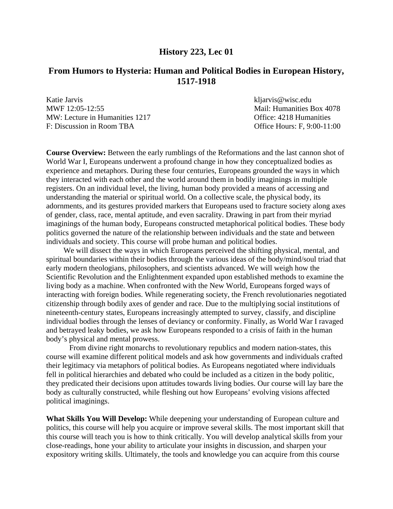#### **History 223, Lec 01**

## **From Humors to Hysteria: Human and Political Bodies in European History, 1517-1918**

Katie Jarvis kliarvis kliarvis kliarvis kliarvis kliarvis kliarvis kliarvis kliarvis kliarvis kliarvis kliarvis kliarvis kliarvis kliarvis kliarvis kliarvis kliarvis kliarvis kliarvis kliarvis kliarvis kliarvis kliarvis kl MWF 12:05-12:55 Mail: Humanities Box 4078 MW: Lecture in Humanities 1217 Charlotte: 4218 Humanities F: Discussion in Room TBA Office Hours: F, 9:00-11:00

**Course Overview:** Between the early rumblings of the Reformations and the last cannon shot of World War I, Europeans underwent a profound change in how they conceptualized bodies as experience and metaphors. During these four centuries, Europeans grounded the ways in which they interacted with each other and the world around them in bodily imaginings in multiple registers. On an individual level, the living, human body provided a means of accessing and understanding the material or spiritual world. On a collective scale, the physical body, its adornments, and its gestures provided markers that Europeans used to fracture society along axes of gender, class, race, mental aptitude, and even sacrality. Drawing in part from their myriad imaginings of the human body, Europeans constructed metaphorical political bodies. These body politics governed the nature of the relationship between individuals and the state and between individuals and society. This course will probe human and political bodies.

 We will dissect the ways in which Europeans perceived the shifting physical, mental, and spiritual boundaries within their bodies through the various ideas of the body/mind/soul triad that early modern theologians, philosophers, and scientists advanced. We will weigh how the Scientific Revolution and the Enlightenment expanded upon established methods to examine the living body as a machine. When confronted with the New World, Europeans forged ways of interacting with foreign bodies. While regenerating society, the French revolutionaries negotiated citizenship through bodily axes of gender and race. Due to the multiplying social institutions of nineteenth-century states, Europeans increasingly attempted to survey, classify, and discipline individual bodies through the lenses of deviancy or conformity. Finally, as World War I ravaged and betrayed leaky bodies, we ask how Europeans responded to a crisis of faith in the human body's physical and mental prowess.

From divine right monarchs to revolutionary republics and modern nation-states, this course will examine different political models and ask how governments and individuals crafted their legitimacy via metaphors of political bodies. As Europeans negotiated where individuals fell in political hierarchies and debated who could be included as a citizen in the body politic, they predicated their decisions upon attitudes towards living bodies. Our course will lay bare the body as culturally constructed, while fleshing out how Europeans' evolving visions affected political imaginings.

**What Skills You Will Develop:** While deepening your understanding of European culture and politics, this course will help you acquire or improve several skills. The most important skill that this course will teach you is how to think critically. You will develop analytical skills from your close-readings, hone your ability to articulate your insights in discussion, and sharpen your expository writing skills. Ultimately, the tools and knowledge you can acquire from this course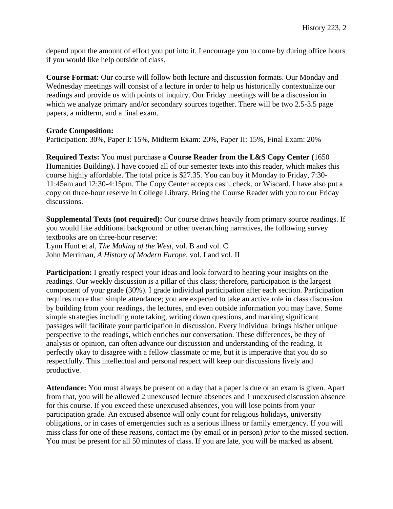depend upon the amount of effort you put into it. I encourage you to come by during office hours if you would like help outside of class.

**Course Format:** Our course will follow both lecture and discussion formats. Our Monday and Wednesday meetings will consist of a lecture in order to help us historically contextualize our readings and provide us with points of inquiry. Our Friday meetings will be a discussion in which we analyze primary and/or secondary sources together. There will be two 2.5-3.5 page papers, a midterm, and a final exam.

#### **Grade Composition:**

Participation: 30%, Paper I: 15%, Midterm Exam: 20%, Paper II: 15%, Final Exam: 20%

**Required Texts:** You must purchase a **Course Reader from the L&S Copy Center (**1650 Humanities Building)**.** I have copied all of our semester texts into this reader, which makes this course highly affordable. The total price is \$27.35. You can buy it Monday to Friday, 7:30- 11:45am and 12:30-4:15pm. The Copy Center accepts cash, check, or Wiscard. I have also put a copy on three-hour reserve in College Library. Bring the Course Reader with you to our Friday discussions.

**Supplemental Texts (not required):** Our course draws heavily from primary source readings. If you would like additional background or other overarching narratives, the following survey textbooks are on three-hour reserve:

Lynn Hunt et al, *The Making of the West,* vol. B and vol. C John Merriman, *A History of Modern Europe*, vol. I and vol. II

**Participation:** I greatly respect your ideas and look forward to hearing your insights on the readings. Our weekly discussion is a pillar of this class; therefore, participation is the largest component of your grade (30%). I grade individual participation after each section. Participation requires more than simple attendance; you are expected to take an active role in class discussion by building from your readings, the lectures, and even outside information you may have. Some simple strategies including note taking, writing down questions, and marking significant passages will facilitate your participation in discussion. Every individual brings his/her unique perspective to the readings, which enriches our conversation. These differences, be they of analysis or opinion, can often advance our discussion and understanding of the reading. It perfectly okay to disagree with a fellow classmate or me, but it is imperative that you do so respectfully. This intellectual and personal respect will keep our discussions lively and productive.

**Attendance:** You must always be present on a day that a paper is due or an exam is given. Apart from that, you will be allowed 2 unexcused lecture absences and 1 unexcused discussion absence for this course. If you exceed these unexcused absences, you will lose points from your participation grade. An excused absence will only count for religious holidays, university obligations, or in cases of emergencies such as a serious illness or family emergency. If you will miss class for one of these reasons, contact me (by email or in person) *prior* to the missed section. You must be present for all 50 minutes of class. If you are late, you will be marked as absent.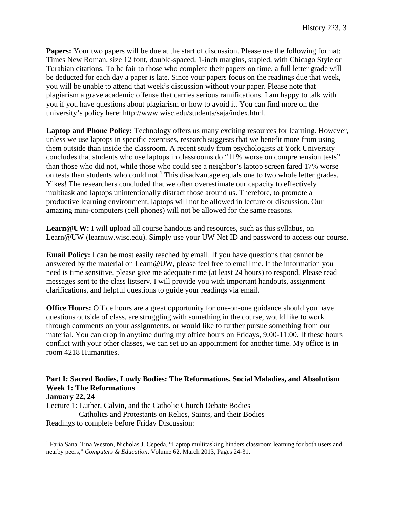**Papers:** Your two papers will be due at the start of discussion. Please use the following format: Times New Roman, size 12 font, double-spaced, 1-inch margins, stapled, with Chicago Style or Turabian citations. To be fair to those who complete their papers on time, a full letter grade will be deducted for each day a paper is late. Since your papers focus on the readings due that week, you will be unable to attend that week's discussion without your paper. Please note that plagiarism a grave academic offense that carries serious ramifications. I am happy to talk with you if you have questions about plagiarism or how to avoid it. You can find more on the university's policy here: http://www.wisc.edu/students/saja/index.html.

Laptop and Phone Policy: Technology offers us many exciting resources for learning. However, unless we use laptops in specific exercises, research suggests that we benefit more from using them outside than inside the classroom. A recent study from psychologists at York University concludes that students who use laptops in classrooms do "11% worse on comprehension tests" than those who did not, while those who could see a neighbor's laptop screen fared 17% worse on tests than students who could not.<sup>1</sup> This disadvantage equals one to two whole letter grades. Yikes! The researchers concluded that we often overestimate our capacity to effectively multitask and laptops unintentionally distract those around us. Therefore, to promote a productive learning environment, laptops will not be allowed in lecture or discussion. Our amazing mini-computers (cell phones) will not be allowed for the same reasons.

**Learn@UW:** I will upload all course handouts and resources, such as this syllabus, on Learn@UW (learnuw.wisc.edu). Simply use your UW Net ID and password to access our course.

**Email Policy:** I can be most easily reached by email. If you have questions that cannot be answered by the material on Learn@UW, please feel free to email me. If the information you need is time sensitive, please give me adequate time (at least 24 hours) to respond. Please read messages sent to the class listserv. I will provide you with important handouts, assignment clarifications, and helpful questions to guide your readings via email.

**Office Hours:** Office hours are a great opportunity for one-on-one guidance should you have questions outside of class, are struggling with something in the course, would like to work through comments on your assignments, or would like to further pursue something from our material. You can drop in anytime during my office hours on Fridays, 9:00-11:00. If these hours conflict with your other classes, we can set up an appointment for another time. My office is in room 4218 Humanities.

## **Part I: Sacred Bodies, Lowly Bodies: The Reformations, Social Maladies, and Absolutism Week 1: The Reformations**

#### **January 22, 24**

 $\overline{a}$ 

Lecture 1: Luther, Calvin, and the Catholic Church Debate Bodies

 Catholics and Protestants on Relics, Saints, and their Bodies Readings to complete before Friday Discussion:

<sup>&</sup>lt;sup>1</sup> Faria Sana, Tina Weston, Nicholas J. Cepeda, "Laptop multitasking hinders classroom learning for both users and nearby peers," *Computers & Education*, Volume 62, March 2013, Pages 24-31.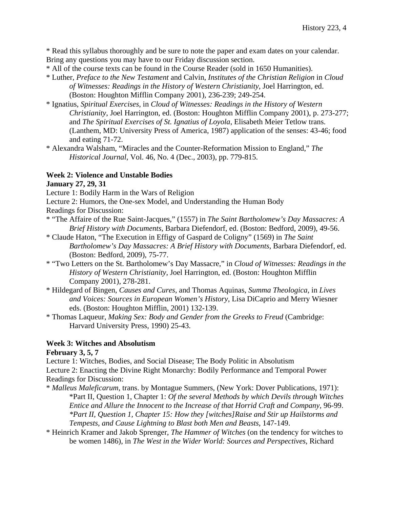\* Read this syllabus thoroughly and be sure to note the paper and exam dates on your calendar. Bring any questions you may have to our Friday discussion section.

- \* All of the course texts can be found in the Course Reader (sold in 1650 Humanities).
- \* Luther, *Preface to the New Testament* and Calvin, *Institutes of the Christian Religion* in *Cloud of Witnesses: Readings in the History of Western Christianity*, Joel Harrington, ed. (Boston: Houghton Mifflin Company 2001), 236-239; 249-254.
- \* Ignatius, *Spiritual Exercises*, in *Cloud of Witnesses: Readings in the History of Western Christianity*, Joel Harrington, ed. (Boston: Houghton Mifflin Company 2001), p. 273-277; and *The Spiritual Exercises of St. Ignatius of Loyola*, Elisabeth Meier Tetlow trans. (Lanthem, MD: University Press of America, 1987) application of the senses: 43-46; food and eating 71-72.
- \* Alexandra Walsham, "Miracles and the Counter-Reformation Mission to England," *The Historical Journal*, Vol. 46, No. 4 (Dec., 2003), pp. 779-815.

#### **Week 2: Violence and Unstable Bodies**

#### **January 27, 29, 31**

Lecture 1: Bodily Harm in the Wars of Religion

Lecture 2: Humors, the One-sex Model, and Understanding the Human Body

- Readings for Discussion:
- \* "The Affaire of the Rue Saint-Jacques," (1557) in *The Saint Bartholomew's Day Massacres: A Brief History with Documents*, Barbara Diefendorf, ed. (Boston: Bedford, 2009), 49-56.
- \* Claude Haton, "The Execution in Effigy of Gaspard de Coligny" (1569) in *The Saint Bartholomew's Day Massacres: A Brief History with Documents*, Barbara Diefendorf, ed. (Boston: Bedford, 2009), 75-77.
- \* "Two Letters on the St. Bartholomew's Day Massacre," in *Cloud of Witnesses: Readings in the History of Western Christianity*, Joel Harrington, ed. (Boston: Houghton Mifflin Company 2001), 278-281.
- \* Hildegard of Bingen, *Causes and Cures*, and Thomas Aquinas, *Summa Theologica*, in *Lives and Voices: Sources in European Women's History*, Lisa DiCaprio and Merry Wiesner eds. (Boston: Houghton Mifflin, 2001) 132-139.
- \* Thomas Laqueur, *Making Sex: Body and Gender from the Greeks to Freud* (Cambridge: Harvard University Press, 1990) 25-43.

#### **Week 3: Witches and Absolutism**

**February 3, 5, 7** 

Lecture 1: Witches, Bodies, and Social Disease; The Body Politic in Absolutism

Lecture 2: Enacting the Divine Right Monarchy: Bodily Performance and Temporal Power Readings for Discussion:

- \* *Malleus Maleficarum*, trans. by Montague Summers, (New York: Dover Publications, 1971): \*Part II, Question 1, Chapter 1: *Of the several Methods by which Devils through Witches Entice and Allure the Innocent to the Increase of that Horrid Craft and Company*, 96-99. *\*Part II, Question 1, Chapter 15: How they [witches]Raise and Stir up Hailstorms and Tempests, and Cause Lightning to Blast both Men and Beasts*, 147-149.
- \* Heinrich Kramer and Jakob Sprenger, *The Hammer of Witches* (on the tendency for witches to be women 1486), in *The West in the Wider World: Sources and Perspectives*, Richard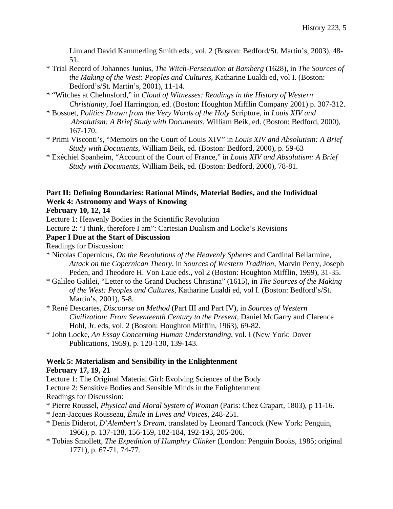Lim and David Kammerling Smith eds., vol. 2 (Boston: Bedford/St. Martin's, 2003), 48- 51.

- \* Trial Record of Johannes Junius, *The Witch-Persecution at Bamberg* (1628), in *The Sources of the Making of the West: Peoples and Cultures*, Katharine Lualdi ed, vol I. (Boston: Bedford's/St. Martin's, 2001), 11-14.
- \* "Witches at Chelmsford," in *Cloud of Witnesses: Readings in the History of Western Christianity*, Joel Harrington, ed. (Boston: Houghton Mifflin Company 2001) p. 307-312.
- \* Bossuet, *Politics Drawn from the Very Words of the Holy* Scripture, in *Louis XIV and Absolutism: A Brief Study with Documents*, William Beik, ed. (Boston: Bedford, 2000), 167-170.
- \* Primi Visconti's, "Memoirs on the Court of Louis XIV" in *Louis XIV and Absolutism: A Brief Study with Documents*, William Beik, ed. (Boston: Bedford, 2000), p. 59-63
- \* Exéchiel Spanheim, "Account of the Court of France," in *Louis XIV and Absolutism: A Brief Study with Documents*, William Beik, ed. (Boston: Bedford, 2000), 78-81.

## **Part II: Defining Boundaries: Rational Minds, Material Bodies, and the Individual Week 4: Astronomy and Ways of Knowing**

**February 10, 12, 14** 

Lecture 1: Heavenly Bodies in the Scientific Revolution

Lecture 2: "I think, therefore I am": Cartesian Dualism and Locke's Revisions

#### **Paper I Due at the Start of Discussion**

Readings for Discussion:

- \* Nicolas Copernicus, *On the Revolutions of the Heavenly Spheres* and Cardinal Bellarmine, *Attack on the Copernican Theory*, in *Sources of Western Tradition*, Marvin Perry, Joseph Peden, and Theodore H. Von Laue eds., vol 2 (Boston: Houghton Mifflin, 1999), 31-35.
- \* Galileo Galilei, "Letter to the Grand Duchess Christina" (1615), in *The Sources of the Making of the West: Peoples and Cultures*, Katharine Lualdi ed, vol I. (Boston: Bedford's/St. Martin's, 2001), 5-8.
- \* René Descartes, *Discourse on Method* (Part III and Part IV)*,* in *Sources of Western Civilization: From Seventeenth Century to the Present*, Daniel McGarry and Clarence Hohl, Jr. eds, vol. 2 (Boston: Houghton Mifflin, 1963), 69-82.
- \* John Locke, *An Essay Concerning Human Understanding*, vol. I (New York: Dover Publications, 1959), p. 120-130, 139-143.

#### **Week 5: Materialism and Sensibility in the Enlightenment February 17, 19, 21**

Lecture 1: The Original Material Girl: Evolving Sciences of the Body Lecture 2: Sensitive Bodies and Sensible Minds in the Enlightenment Readings for Discussion:

- \* Pierre Roussel, *Physical and Moral System of Woman* (Paris: Chez Crapart, 1803), p 11-16.
- \* Jean-Jacques Rousseau, *Émile* in *Lives and Voices*, 248-251.
- \* Denis Diderot, *D'Alembert's Dream*, translated by Leonard Tancock (New York: Penguin, 1966)*,* p. 137-138, 156-159, 182-184, 192-193, 205-206.
- \* Tobias Smollett, *The Expedition of Humphry Clinker* (London: Penguin Books, 1985; original 1771), p. 67-71, 74-77.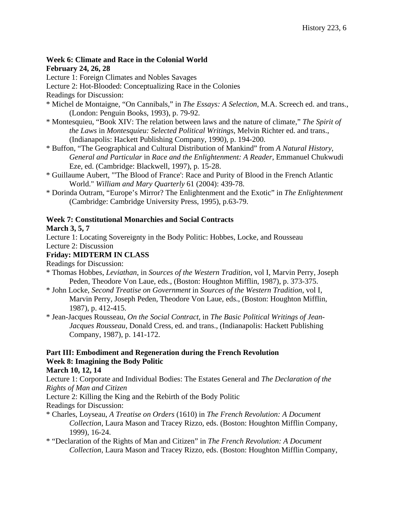## **Week 6: Climate and Race in the Colonial World**

#### **February 24, 26, 28**

Lecture 1: Foreign Climates and Nobles Savages

Lecture 2: Hot-Blooded: Conceptualizing Race in the Colonies

Readings for Discussion:

- \* Michel de Montaigne, "On Cannibals," in *The Essays: A Selection*, M.A. Screech ed. and trans., (London: Penguin Books, 1993), p. 79-92.
- \* Montesquieu, "Book XIV: The relation between laws and the nature of climate," *The Spirit of the Laws* in *Montesquieu: Selected Political Writings*, Melvin Richter ed. and trans., (Indianapolis: Hackett Publishing Company, 1990), p. 194-200.
- \* Buffon, "The Geographical and Cultural Distribution of Mankind" from *A Natural History, General and Particular* in *Race and the Enlightenment: A Reader*, Emmanuel Chukwudi Eze, ed. (Cambridge: Blackwell, 1997), p. 15-28.
- \* Guillaume Aubert, "'The Blood of France': Race and Purity of Blood in the French Atlantic World." *William and Mary Quarterly* 61 (2004): 439-78.
- \* Dorinda Outram, "Europe's Mirror? The Enlightenment and the Exotic" in *The Enlightenment* (Cambridge: Cambridge University Press, 1995), p.63-79.

## **Week 7: Constitutional Monarchies and Social Contracts**

#### **March 3, 5, 7**

Lecture 1: Locating Sovereignty in the Body Politic: Hobbes, Locke, and Rousseau

Lecture 2: Discussion

## **Friday: MIDTERM IN CLASS**

Readings for Discussion:

- \* Thomas Hobbes, *Leviathan*, in *Sources of the Western Tradition*, vol I, Marvin Perry, Joseph Peden, Theodore Von Laue, eds., (Boston: Houghton Mifflin, 1987), p. 373-375.
- \* John Locke, *Second Treatise on Government* in *Sources of the Western Tradition*, vol I, Marvin Perry, Joseph Peden, Theodore Von Laue, eds., (Boston: Houghton Mifflin, 1987), p. 412-415.
- \* Jean-Jacques Rousseau, *On the Social Contract*, in *The Basic Political Writings of Jean-Jacques Rousseau*, Donald Cress, ed. and trans., (Indianapolis: Hackett Publishing Company, 1987), p. 141-172.

## **Part III: Embodiment and Regeneration during the French Revolution Week 8: Imagining the Body Politic**

#### **March 10, 12, 14**

Lecture 1: Corporate and Individual Bodies: The Estates General and *The Declaration of the Rights of Man and Citizen*

Lecture 2: Killing the King and the Rebirth of the Body Politic

Readings for Discussion:

- \* Charles, Loyseau, *A Treatise on Orders* (1610) in *The French Revolution: A Document Collection*, Laura Mason and Tracey Rizzo, eds. (Boston: Houghton Mifflin Company, 1999), 16-24.
- \* "Declaration of the Rights of Man and Citizen" in *The French Revolution: A Document Collection*, Laura Mason and Tracey Rizzo, eds. (Boston: Houghton Mifflin Company,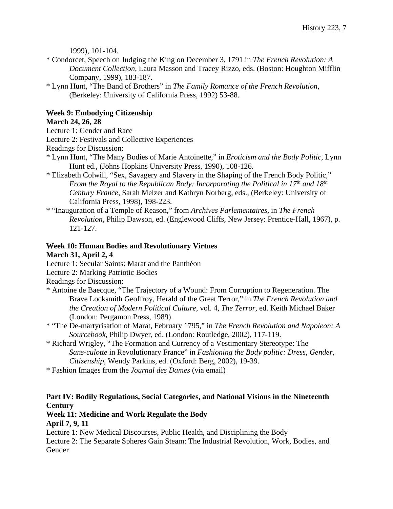1999), 101-104.

- \* Condorcet, Speech on Judging the King on December 3, 1791 in *The French Revolution: A Document Collection*, Laura Masson and Tracey Rizzo, eds. (Boston: Houghton Mifflin Company, 1999), 183-187.
- \* Lynn Hunt, "The Band of Brothers" in *The Family Romance of the French Revolution,*  (Berkeley: University of California Press, 1992) 53-88.

## **Week 9: Embodying Citizenship**

#### **March 24, 26, 28**

Lecture 1: Gender and Race

Lecture 2: Festivals and Collective Experiences

Readings for Discussion:

- \* Lynn Hunt, "The Many Bodies of Marie Antoinette," in *Eroticism and the Body Politic*, Lynn Hunt ed., (Johns Hopkins University Press, 1990), 108-126.
- \* Elizabeth Colwill, "Sex, Savagery and Slavery in the Shaping of the French Body Politic," *From the Royal to the Republican Body: Incorporating the Political in 17th and 18th Century France,* Sarah Melzer and Kathryn Norberg, eds., (Berkeley: University of California Press, 1998), 198-223.
- \* "Inauguration of a Temple of Reason," from *Archives Parlementaires*, in *The French Revolution*, Philip Dawson, ed. (Englewood Cliffs, New Jersey: Prentice-Hall, 1967), p. 121-127.

# **Week 10: Human Bodies and Revolutionary Virtues**

#### **March 31, April 2, 4**

- Lecture 1: Secular Saints: Marat and the Panthéon
- Lecture 2: Marking Patriotic Bodies

Readings for Discussion:

- \* Antoine de Baecque, "The Trajectory of a Wound: From Corruption to Regeneration. The Brave Locksmith Geoffroy, Herald of the Great Terror," in *The French Revolution and the Creation of Modern Political Culture*, vol. 4, *The Terror*, ed. Keith Michael Baker (London: Pergamon Press, 1989).
- \* "The De-martyrisation of Marat, February 1795," in *The French Revolution and Napoleon: A Sourcebook*, Philip Dwyer, ed. (London: Routledge, 2002), 117-119.
- \* Richard Wrigley, "The Formation and Currency of a Vestimentary Stereotype: The *Sans-culotte* in Revolutionary France" in *Fashioning the Body politic: Dress, Gender, Citizenship*, Wendy Parkins, ed. (Oxford: Berg, 2002), 19-39.
- \* Fashion Images from the *Journal des Dames* (via email)

## **Part IV: Bodily Regulations, Social Categories, and National Visions in the Nineteenth Century**

## **Week 11: Medicine and Work Regulate the Body**

**April 7, 9, 11** 

Lecture 1: New Medical Discourses, Public Health, and Disciplining the Body

Lecture 2: The Separate Spheres Gain Steam: The Industrial Revolution, Work, Bodies, and Gender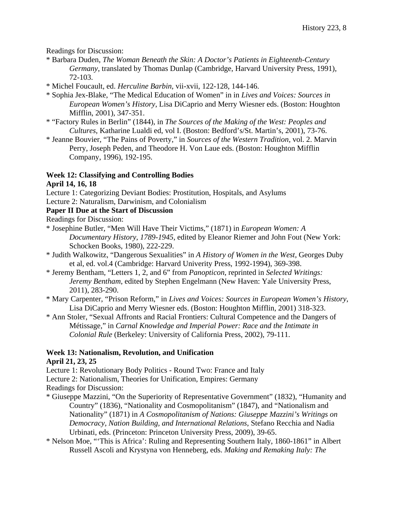Readings for Discussion:

- \* Barbara Duden, *The Woman Beneath the Skin: A Doctor's Patients in Eighteenth-Century Germany*, translated by Thomas Dunlap (Cambridge, Harvard University Press, 1991), 72-103.
- \* Michel Foucault, ed. *Herculine Barbin,* vii-xvii, 122-128, 144-146.
- \* Sophia Jex-Blake, "The Medical Education of Women" in in *Lives and Voices: Sources in European Women's History*, Lisa DiCaprio and Merry Wiesner eds. (Boston: Houghton Mifflin, 2001), 347-351.
- \* "Factory Rules in Berlin" (1844), in *The Sources of the Making of the West: Peoples and Cultures*, Katharine Lualdi ed, vol I. (Boston: Bedford's/St. Martin's, 2001), 73-76.
- \* Jeanne Bouvier, "The Pains of Poverty," in *Sources of the Western Tradition*, vol. 2. Marvin Perry, Joseph Peden, and Theodore H. Von Laue eds. (Boston: Houghton Mifflin Company, 1996), 192-195.

## **Week 12: Classifying and Controlling Bodies**

#### **April 14, 16, 18**

- Lecture 1: Categorizing Deviant Bodies: Prostitution, Hospitals, and Asylums
- Lecture 2: Naturalism, Darwinism, and Colonialism

#### **Paper II Due at the Start of Discussion**

- Readings for Discussion:
- \* Josephine Butler, "Men Will Have Their Victims," (1871) in *European Women: A Documentary History, 1789-1945*, edited by Eleanor Riemer and John Fout (New York: Schocken Books, 1980), 222-229.
- \* Judith Walkowitz, "Dangerous Sexualities" in *A History of Women in the West*, Georges Duby et al, ed. vol.4 (Cambridge: Harvard Univerity Press, 1992-1994), 369-398.
- \* Jeremy Bentham, "Letters 1, 2, and 6" from *Panopticon*, reprinted in *Selected Writings: Jeremy Bentham*, edited by Stephen Engelmann (New Haven: Yale University Press, 2011), 283-290.
- \* Mary Carpenter, "Prison Reform," in *Lives and Voices: Sources in European Women's History*, Lisa DiCaprio and Merry Wiesner eds. (Boston: Houghton Mifflin, 2001) 318-323.
- \* Ann Stoler, "Sexual Affronts and Racial Frontiers: Cultural Competence and the Dangers of Métissage," in *Carnal Knowledge and Imperial Power: Race and the Intimate in Colonial Rule* (Berkeley: University of California Press, 2002), 79-111.

# **Week 13: Nationalism, Revolution, and Unification**

## **April 21, 23, 25**

Lecture 1: Revolutionary Body Politics - Round Two: France and Italy

Lecture 2: Nationalism, Theories for Unification, Empires: Germany

Readings for Discussion:

- \* Giuseppe Mazzini, "On the Superiority of Representative Government" (1832), "Humanity and Country" (1836), "Nationality and Cosmopolitanism" (1847), and "Nationalism and Nationality" (1871) in *A Cosmopolitanism of Nations: Giuseppe Mazzini's Writings on Democracy, Nation Building, and International Relations*, Stefano Recchia and Nadia Urbinati, eds. (Princeton: Princeton University Press, 2009), 39-65.
- \* Nelson Moe, "'This is Africa': Ruling and Representing Southern Italy, 1860-1861" in Albert Russell Ascoli and Krystyna von Henneberg, eds. *Making and Remaking Italy: The*